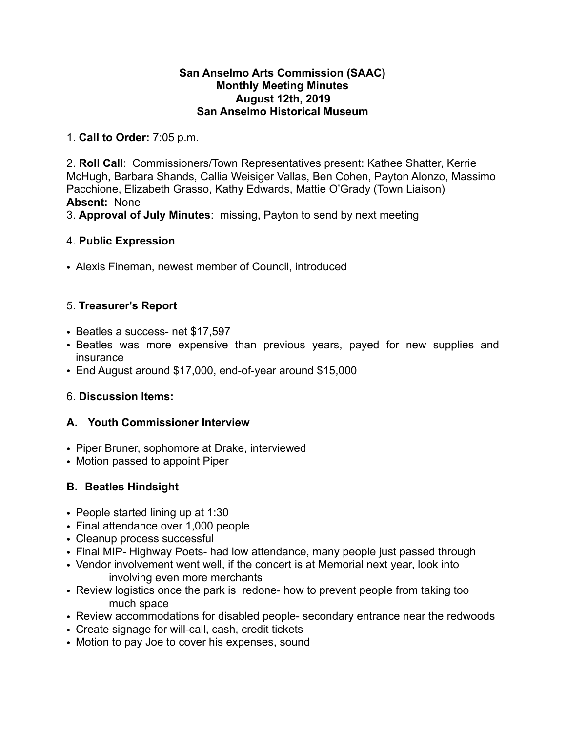#### **San Anselmo Arts Commission (SAAC) Monthly Meeting Minutes August 12th, 2019 San Anselmo Historical Museum**

1. **Call to Order:** 7:05 p.m.

2. **Roll Call**: Commissioners/Town Representatives present: Kathee Shatter, Kerrie McHugh, Barbara Shands, Callia Weisiger Vallas, Ben Cohen, Payton Alonzo, Massimo Pacchione, Elizabeth Grasso, Kathy Edwards, Mattie O'Grady (Town Liaison) **Absent:** None

3. **Approval of July Minutes**: missing, Payton to send by next meeting

#### 4. **Public Expression**

• Alexis Fineman, newest member of Council, introduced

# 5. **Treasurer's Report**

- Beatles a success- net \$17,597
- Beatles was more expensive than previous years, payed for new supplies and insurance
- End August around \$17,000, end-of-year around \$15,000

# 6. **Discussion Items:**

# **A. Youth Commissioner Interview**

- Piper Bruner, sophomore at Drake, interviewed
- Motion passed to appoint Piper

# **B. Beatles Hindsight**

- People started lining up at 1:30
- Final attendance over 1,000 people
- Cleanup process successful
- Final MIP- Highway Poets- had low attendance, many people just passed through
- Vendor involvement went well, if the concert is at Memorial next year, look into involving even more merchants
- Review logistics once the park is redone- how to prevent people from taking too much space
- Review accommodations for disabled people- secondary entrance near the redwoods
- Create signage for will-call, cash, credit tickets
- Motion to pay Joe to cover his expenses, sound